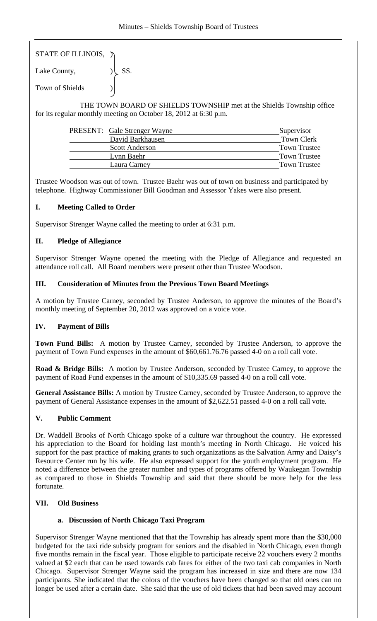STATE OF ILLINOIS, )

Lake County,  $|\text{SS}|$ . Town of Shields )

 THE TOWN BOARD OF SHIELDS TOWNSHIP met at the Shields Township office for its regular monthly meeting on October 18, 2012 at 6:30 p.m.

| <b>PRESENT:</b> Gale Strenger Wayne | Supervisor          |
|-------------------------------------|---------------------|
| David Barkhausen                    | <b>Town Clerk</b>   |
| <b>Scott Anderson</b>               | <b>Town Trustee</b> |
| Lynn Baehr                          | Town Trustee        |
| Laura Carney                        | <b>Town Trustee</b> |

Trustee Woodson was out of town. Trustee Baehr was out of town on business and participated by telephone. Highway Commissioner Bill Goodman and Assessor Yakes were also present.

## **I. Meeting Called to Order**

Supervisor Strenger Wayne called the meeting to order at 6:31 p.m.

## **II. Pledge of Allegiance**

Supervisor Strenger Wayne opened the meeting with the Pledge of Allegiance and requested an attendance roll call. All Board members were present other than Trustee Woodson.

### **III. Consideration of Minutes from the Previous Town Board Meetings**

A motion by Trustee Carney, seconded by Trustee Anderson, to approve the minutes of the Board's monthly meeting of September 20, 2012 was approved on a voice vote.

## **IV. Payment of Bills**

**Town Fund Bills:** A motion by Trustee Carney, seconded by Trustee Anderson, to approve the payment of Town Fund expenses in the amount of \$60,661.76.76 passed 4-0 on a roll call vote.

**Road & Bridge Bills:** A motion by Trustee Anderson, seconded by Trustee Carney, to approve the payment of Road Fund expenses in the amount of \$10,335.69 passed 4-0 on a roll call vote.

**General Assistance Bills:** A motion by Trustee Carney, seconded by Trustee Anderson, to approve the payment of General Assistance expenses in the amount of \$2,622.51 passed 4-0 on a roll call vote.

#### **V. Public Comment**

Dr. Waddell Brooks of North Chicago spoke of a culture war throughout the country. He expressed his appreciation to the Board for holding last month's meeting in North Chicago. He voiced his support for the past practice of making grants to such organizations as the Salvation Army and Daisy's Resource Center run by his wife. He also expressed support for the youth employment program. He noted a difference between the greater number and types of programs offered by Waukegan Township as compared to those in Shields Township and said that there should be more help for the less fortunate.

## **VII. Old Business**

#### **a. Discussion of North Chicago Taxi Program**

Supervisor Strenger Wayne mentioned that that the Township has already spent more than the \$30,000 budgeted for the taxi ride subsidy program for seniors and the disabled in North Chicago, even though five months remain in the fiscal year. Those eligible to participate receive 22 vouchers every 2 months valued at \$2 each that can be used towards cab fares for either of the two taxi cab companies in North Chicago. Supervisor Strenger Wayne said the program has increased in size and there are now 134 participants. She indicated that the colors of the vouchers have been changed so that old ones can no longer be used after a certain date. She said that the use of old tickets that had been saved may account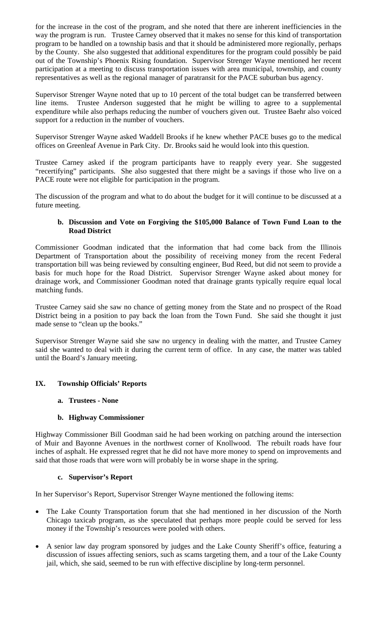for the increase in the cost of the program, and she noted that there are inherent inefficiencies in the way the program is run. Trustee Carney observed that it makes no sense for this kind of transportation program to be handled on a township basis and that it should be administered more regionally, perhaps by the County. She also suggested that additional expenditures for the program could possibly be paid out of the Township's Phoenix Rising foundation. Supervisor Strenger Wayne mentioned her recent participation at a meeting to discuss transportation issues with area municipal, township, and county representatives as well as the regional manager of paratransit for the PACE suburban bus agency.

Supervisor Strenger Wayne noted that up to 10 percent of the total budget can be transferred between line items. Trustee Anderson suggested that he might be willing to agree to a supplemental expenditure while also perhaps reducing the number of vouchers given out. Trustee Baehr also voiced support for a reduction in the number of vouchers.

Supervisor Strenger Wayne asked Waddell Brooks if he knew whether PACE buses go to the medical offices on Greenleaf Avenue in Park City. Dr. Brooks said he would look into this question.

Trustee Carney asked if the program participants have to reapply every year. She suggested "recertifying" participants. She also suggested that there might be a savings if those who live on a PACE route were not eligible for participation in the program.

The discussion of the program and what to do about the budget for it will continue to be discussed at a future meeting.

#### **b. Discussion and Vote on Forgiving the \$105,000 Balance of Town Fund Loan to the Road District**

Commissioner Goodman indicated that the information that had come back from the Illinois Department of Transportation about the possibility of receiving money from the recent Federal transportation bill was being reviewed by consulting engineer, Bud Reed, but did not seem to provide a basis for much hope for the Road District. Supervisor Strenger Wayne asked about money for drainage work, and Commissioner Goodman noted that drainage grants typically require equal local matching funds.

Trustee Carney said she saw no chance of getting money from the State and no prospect of the Road District being in a position to pay back the loan from the Town Fund. She said she thought it just made sense to "clean up the books."

Supervisor Strenger Wayne said she saw no urgency in dealing with the matter, and Trustee Carney said she wanted to deal with it during the current term of office. In any case, the matter was tabled until the Board's January meeting.

## **IX. Township Officials' Reports**

#### **a. Trustees - None**

## **b. Highway Commissioner**

Highway Commissioner Bill Goodman said he had been working on patching around the intersection of Muir and Bayonne Avenues in the northwest corner of Knollwood. The rebuilt roads have four inches of asphalt. He expressed regret that he did not have more money to spend on improvements and said that those roads that were worn will probably be in worse shape in the spring.

#### **c. Supervisor's Report**

In her Supervisor's Report, Supervisor Strenger Wayne mentioned the following items:

- The Lake County Transportation forum that she had mentioned in her discussion of the North Chicago taxicab program, as she speculated that perhaps more people could be served for less money if the Township's resources were pooled with others.
- A senior law day program sponsored by judges and the Lake County Sheriff's office, featuring a discussion of issues affecting seniors, such as scams targeting them, and a tour of the Lake County jail, which, she said, seemed to be run with effective discipline by long-term personnel.